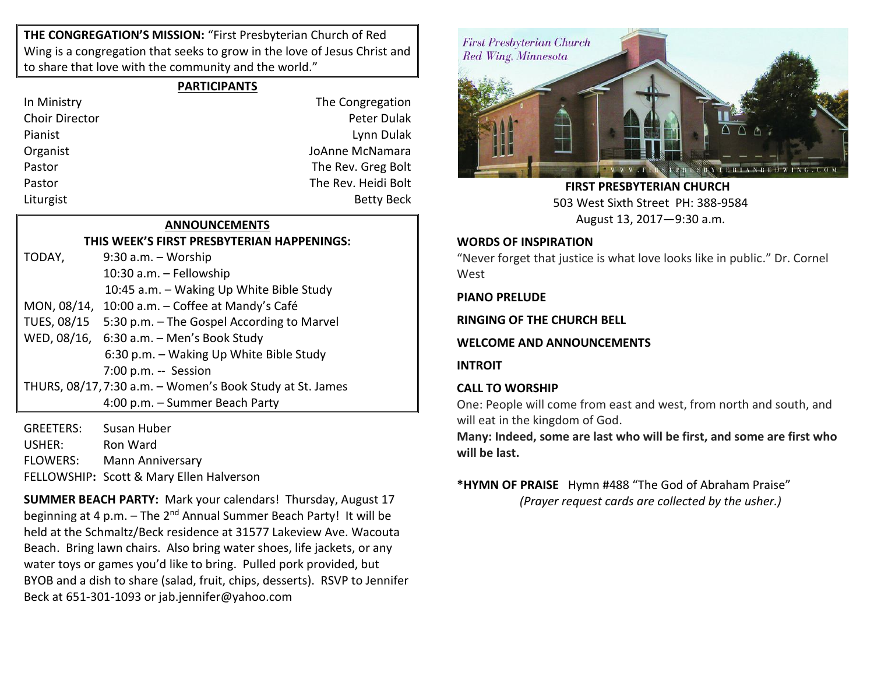**THE CONGREGATION'S MISSION:** "First Presbyterian Church of Red Wing is a congregation that seeks to grow in the love of Jesus Christ and to share that love with the community and the world."

## **PARTICIPANTS**

| In Ministry           | The Congregation    |
|-----------------------|---------------------|
| <b>Choir Director</b> | Peter Dulak         |
| Pianist               | Lynn Dulak          |
| Organist              | JoAnne McNamara     |
| Pastor                | The Rev. Greg Bolt  |
| Pastor                | The Rev. Heidi Bolt |
| Liturgist             | <b>Betty Beck</b>   |
|                       |                     |

# **ANNOUNCEMENTS**

**THIS WEEK'S FIRST PRESBYTERIAN HAPPENINGS:** TODAY, 9:30 a.m. – Worship 10:30 a.m. – Fellowship 10:45 a.m. – Waking Up White Bible Study MON, 08/14, 10:00 a.m. – Coffee at Mandy's Café TUES, 08/15 5:30 p.m. – The Gospel According to Marvel WED, 08/16, 6:30 a.m. – Men's Book Study 6:30 p.m. – Waking Up White Bible Study 7:00 p.m. -- Session THURS, 08/17,7:30 a.m. – Women's Book Study at St. James 4:00 p.m. – Summer Beach Party

GREETERS: Susan Huber USHER: Ron Ward FLOWERS: Mann Anniversary FELLOWSHIP**:** Scott & Mary Ellen Halverson

**SUMMER BEACH PARTY:** Mark your calendars! Thursday, August 17 beginning at 4 p.m.  $-$  The 2<sup>nd</sup> Annual Summer Beach Party! It will be held at the Schmaltz/Beck residence at 31577 Lakeview Ave. Wacouta Beach. Bring lawn chairs. Also bring water shoes, life jackets, or any water toys or games you'd like to bring. Pulled pork provided, but BYOB and a dish to share (salad, fruit, chips, desserts). RSVP to Jennifer Beck at 651-301-1093 or jab.jennifer@yahoo.com



 **FIRST PRESBYTERIAN CHURCH** 503 West Sixth Street PH: 388-9584 August 13, 2017—9:30 a.m.

### **WORDS OF INSPIRATION**

"Never forget that justice is what love looks like in public." Dr. Cornel West

**PIANO PRELUDE**

**RINGING OF THE CHURCH BELL**

**WELCOME AND ANNOUNCEMENTS**

**INTROIT**

## **CALL TO WORSHIP**

One: People will come from east and west, from north and south, and will eat in the kingdom of God.

**Many: Indeed, some are last who will be first, and some are first who will be last.**

**\*HYMN OF PRAISE** Hymn #488 "The God of Abraham Praise" *(Prayer request cards are collected by the usher.)*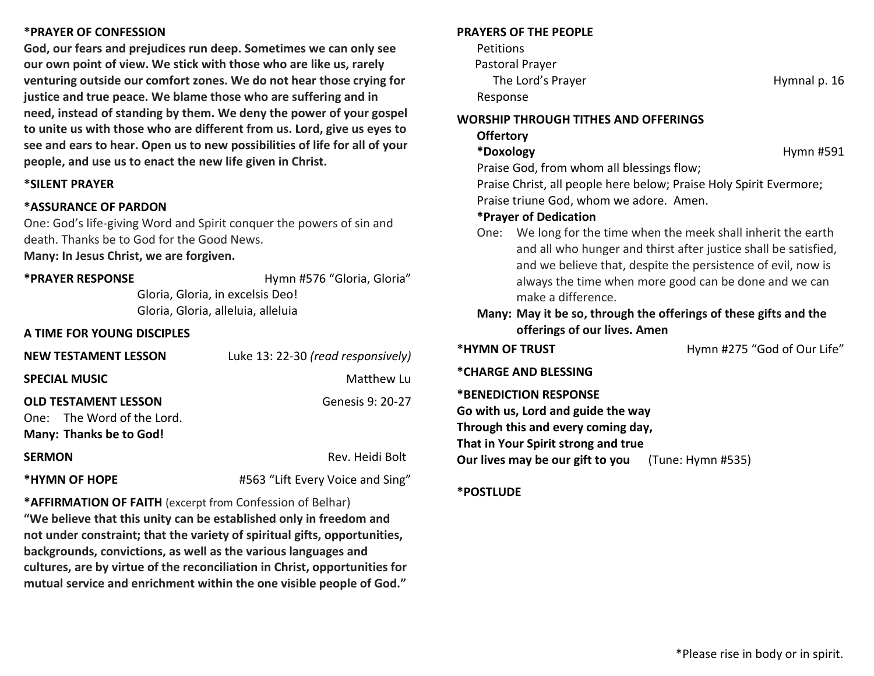## **\*PRAYER OF CONFESSION**

**God, our fears and prejudices run deep. Sometimes we can only see our own point of view. We stick with those who are like us, rarely venturing outside our comfort zones. We do not hear those crying for justice and true peace. We blame those who are suffering and in need, instead of standing by them. We deny the power of your gospel to unite us with those who are different from us. Lord, give us eyes to see and ears to hear. Open us to new possibilities of life for all of your people, and use us to enact the new life given in Christ.**

#### **\*SILENT PRAYER**

#### **\*ASSURANCE OF PARDON**

One: God's life-giving Word and Spirit conquer the powers of sin and death. Thanks be to God for the Good News.

**Many: In Jesus Christ, we are forgiven.**

**\*PRAYER RESPONSE** Hymn #576 "Gloria, Gloria"

Gloria, Gloria, in excelsis Deo! Gloria, Gloria, alleluia, alleluia

#### **A TIME FOR YOUNG DISCIPLES**

| <b>NEW TESTAMENT LESSON</b>                                                                 | Luke 13: 22-30 (read responsively) |
|---------------------------------------------------------------------------------------------|------------------------------------|
| <b>SPECIAL MUSIC</b>                                                                        | Matthew Lu                         |
| <b>OLD TESTAMENT LESSON</b><br>One: The Word of the Lord.<br><b>Many: Thanks be to God!</b> | Genesis 9: 20-27                   |
| <b>SERMON</b>                                                                               | Rev. Heidi Bolt                    |
| *HYMN OF HOPE                                                                               | #563 "Lift Every Voice and Sing"   |

**\*AFFIRMATION OF FAITH** (excerpt from Confession of Belhar) **"We believe that this unity can be established only in freedom and not under constraint; that the variety of spiritual gifts, opportunities, backgrounds, convictions, as well as the various languages and cultures, are by virtue of the reconciliation in Christ, opportunities for mutual service and enrichment within the one visible people of God."**

#### **PRAYERS OF THE PEOPLE**

**Petitions**  Pastoral Prayer The Lord's Prayer **Hymnal p. 16** 

Response

**WORSHIP THROUGH TITHES AND OFFERINGS**

**Offertory** \*Doxology **https://www.francheaplanetas.com/models/models/models/models/models/models/models/models/models/models/models/models/models/models/models/models/models/models/models/models/models/models/models/models/models/mod** 

Praise God, from whom all blessings flow;

Praise Christ, all people here below; Praise Holy Spirit Evermore; Praise triune God, whom we adore. Amen.

#### **\*Prayer of Dedication**

One: We long for the time when the meek shall inherit the earth and all who hunger and thirst after justice shall be satisfied, and we believe that, despite the persistence of evil, now is always the time when more good can be done and we can make a difference.

## **Many: May it be so, through the offerings of these gifts and the offerings of our lives. Amen**

\*HYMN OF TRUST **All and Account to the Hymn #275** "God of Our Life"

**\*CHARGE AND BLESSING** 

#### **\*BENEDICTION RESPONSE**

**Go with us, Lord and guide the way Through this and every coming day, That in Your Spirit strong and true Our lives may be our gift to you** (Tune: Hymn #535)

#### **\*POSTLUDE**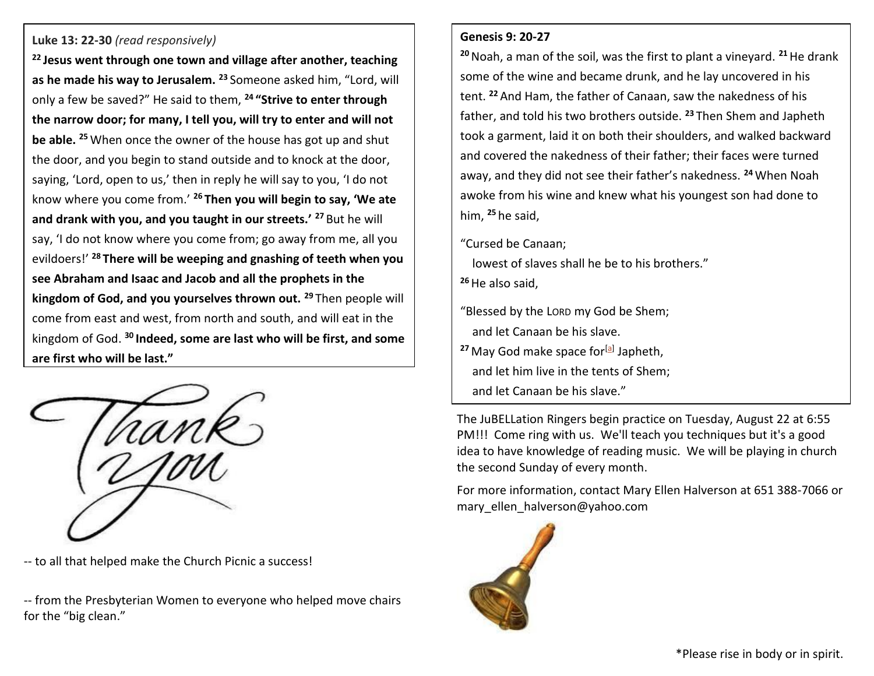## **Luke 13: 22-30** *(read responsively)*

**<sup>22</sup> Jesus went through one town and village after another, teaching as he made his way to Jerusalem. <sup>23</sup>** Someone asked him, "Lord, will only a few be saved?" He said to them, **<sup>24</sup> "Strive to enter through the narrow door; for many, I tell you, will try to enter and will not be able. <sup>25</sup>** When once the owner of the house has got up and shut the door, and you begin to stand outside and to knock at the door, saying, 'Lord, open to us,' then in reply he will say to you, 'I do not know where you come from.' **<sup>26</sup> Then you will begin to say, 'We ate and drank with you, and you taught in our streets.' <sup>27</sup>** But he will say, 'I do not know where you come from; go away from me, all you evildoers!' **<sup>28</sup> There will be weeping and gnashing of teeth when you see Abraham and Isaac and Jacob and all the prophets in the kingdom of God, and you yourselves thrown out. <sup>29</sup>** Then people will come from east and west, from north and south, and will eat in the kingdom of God. **<sup>30</sup> Indeed, some are last who will be first, and some are first who will be last."**



-- to all that helped make the Church Picnic a success!

-- from the Presbyterian Women to everyone who helped move chairs for the "big clean."

#### **Genesis 9: 20-27**

**<sup>20</sup>**Noah, a man of the soil, was the first to plant a vineyard. **<sup>21</sup>**He drank some of the wine and became drunk, and he lay uncovered in his tent. **<sup>22</sup>** And Ham, the father of Canaan, saw the nakedness of his father, and told his two brothers outside. **<sup>23</sup>** Then Shem and Japheth took a garment, laid it on both their shoulders, and walked backward and covered the nakedness of their father; their faces were turned away, and they did not see their father's nakedness. **<sup>24</sup>** When Noah awoke from his wine and knew what his youngest son had done to him, **<sup>25</sup>** he said,

"Cursed be Canaan;

 lowest of slaves shall he be to his brothers." **<sup>26</sup>**He also said,

"Blessed by the LORD my God be Shem; and let Canaan be his slave.

<sup>27</sup> May God make space for<sup>[<u>a</u>]</sup> Japheth, and let him live in the tents of Shem;

and let Canaan be his slave."

The JuBELLation Ringers begin practice on Tuesday, August 22 at 6:55 PM!!! Come ring with us. We'll teach you techniques but it's a good idea to have knowledge of reading music. We will be playing in church the second Sunday of every month.

For more information, contact Mary Ellen Halverson at 651 388-7066 or [mary\\_ellen\\_halverson@yahoo.com](mailto:mary_ellen_halverson@yahoo.com)